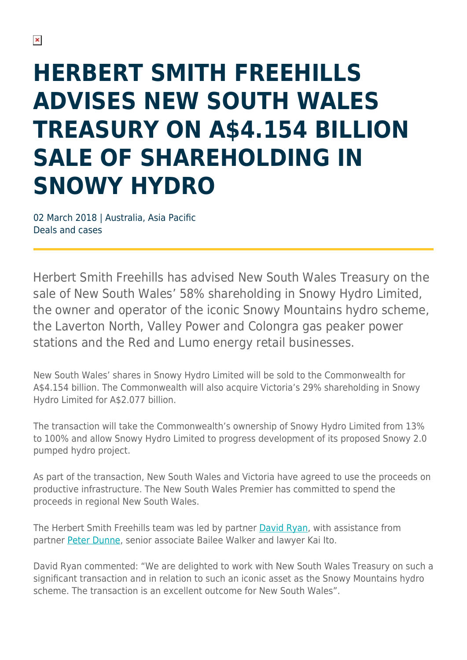## **HERBERT SMITH FREEHILLS ADVISES NEW SOUTH WALES TREASURY ON A\$4.154 BILLION SALE OF SHAREHOLDING IN SNOWY HYDRO**

02 March 2018 | Australia, Asia Pacific Deals and cases

Herbert Smith Freehills has advised New South Wales Treasury on the sale of New South Wales' 58% shareholding in Snowy Hydro Limited, the owner and operator of the iconic Snowy Mountains hydro scheme, the Laverton North, Valley Power and Colongra gas peaker power stations and the Red and Lumo energy retail businesses.

New South Wales' shares in Snowy Hydro Limited will be sold to the Commonwealth for A\$4.154 billion. The Commonwealth will also acquire Victoria's 29% shareholding in Snowy Hydro Limited for A\$2.077 billion.

The transaction will take the Commonwealth's ownership of Snowy Hydro Limited from 13% to 100% and allow Snowy Hydro Limited to progress development of its proposed Snowy 2.0 pumped hydro project.

As part of the transaction, New South Wales and Victoria have agreed to use the proceeds on productive infrastructure. The New South Wales Premier has committed to spend the proceeds in regional New South Wales.

The Herbert Smith Freehills team was led by partner [David Ryan,](https://www.herbertsmithfreehills.com/our-people/david-ryan) with assistance from partner [Peter Dunne](https://www.herbertsmithfreehills.com/our-people/peter-dunne), senior associate Bailee Walker and lawyer Kai Ito.

David Ryan commented: "We are delighted to work with New South Wales Treasury on such a significant transaction and in relation to such an iconic asset as the Snowy Mountains hydro scheme. The transaction is an excellent outcome for New South Wales".